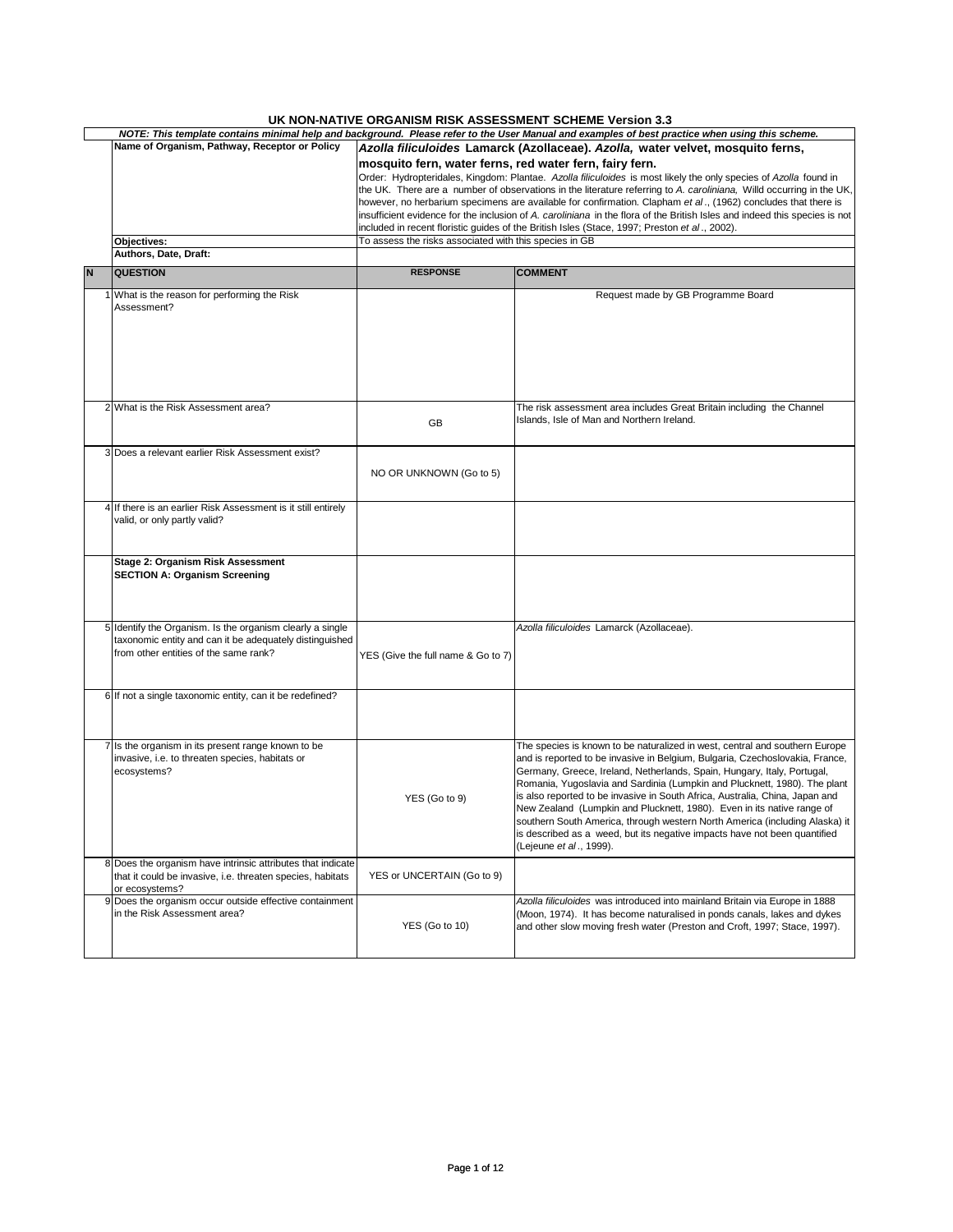## **UK NON-NATIVE ORGANISM RISK ASSESSMENT SCHEME Version 3.3**

|   | 0111101111111112 0110A1110M 1110I1 A00E00MENT 00ITEME TCI0IUII 0.0<br>NOTE: This template contains minimal help and background. Please refer to the User Manual and examples of best practice when using this scheme. |                                                                                 |                                                                                                                            |  |  |  |  |  |  |
|---|-----------------------------------------------------------------------------------------------------------------------------------------------------------------------------------------------------------------------|---------------------------------------------------------------------------------|----------------------------------------------------------------------------------------------------------------------------|--|--|--|--|--|--|
|   | Name of Organism, Pathway, Receptor or Policy                                                                                                                                                                         |                                                                                 |                                                                                                                            |  |  |  |  |  |  |
|   |                                                                                                                                                                                                                       | Azolla filiculoides Lamarck (Azollaceae). Azolla, water velvet, mosquito ferns, |                                                                                                                            |  |  |  |  |  |  |
|   |                                                                                                                                                                                                                       | mosquito fern, water ferns, red water fern, fairy fern.                         |                                                                                                                            |  |  |  |  |  |  |
|   |                                                                                                                                                                                                                       |                                                                                 | Order: Hydropteridales, Kingdom: Plantae. Azolla filiculoides is most likely the only species of Azolla found in           |  |  |  |  |  |  |
|   |                                                                                                                                                                                                                       |                                                                                 |                                                                                                                            |  |  |  |  |  |  |
|   |                                                                                                                                                                                                                       |                                                                                 | the UK. There are a number of observations in the literature referring to A. caroliniana, Willd occurring in the UK,       |  |  |  |  |  |  |
|   |                                                                                                                                                                                                                       |                                                                                 | however, no herbarium specimens are available for confirmation. Clapham et al., (1962) concludes that there is             |  |  |  |  |  |  |
|   |                                                                                                                                                                                                                       |                                                                                 | insufficient evidence for the inclusion of A. caroliniana in the flora of the British Isles and indeed this species is not |  |  |  |  |  |  |
|   |                                                                                                                                                                                                                       |                                                                                 | included in recent floristic guides of the British Isles (Stace, 1997; Preston et al., 2002).                              |  |  |  |  |  |  |
|   |                                                                                                                                                                                                                       |                                                                                 |                                                                                                                            |  |  |  |  |  |  |
|   | Objectives:                                                                                                                                                                                                           | To assess the risks associated with this species in GB                          |                                                                                                                            |  |  |  |  |  |  |
|   | Authors, Date, Draft:                                                                                                                                                                                                 |                                                                                 |                                                                                                                            |  |  |  |  |  |  |
|   |                                                                                                                                                                                                                       |                                                                                 |                                                                                                                            |  |  |  |  |  |  |
| N | <b>QUESTION</b>                                                                                                                                                                                                       | <b>RESPONSE</b>                                                                 | <b>COMMENT</b>                                                                                                             |  |  |  |  |  |  |
|   |                                                                                                                                                                                                                       |                                                                                 |                                                                                                                            |  |  |  |  |  |  |
|   | 1 What is the reason for performing the Risk                                                                                                                                                                          |                                                                                 | Request made by GB Programme Board                                                                                         |  |  |  |  |  |  |
|   | Assessment?                                                                                                                                                                                                           |                                                                                 |                                                                                                                            |  |  |  |  |  |  |
|   |                                                                                                                                                                                                                       |                                                                                 |                                                                                                                            |  |  |  |  |  |  |
|   |                                                                                                                                                                                                                       |                                                                                 |                                                                                                                            |  |  |  |  |  |  |
|   |                                                                                                                                                                                                                       |                                                                                 |                                                                                                                            |  |  |  |  |  |  |
|   |                                                                                                                                                                                                                       |                                                                                 |                                                                                                                            |  |  |  |  |  |  |
|   |                                                                                                                                                                                                                       |                                                                                 |                                                                                                                            |  |  |  |  |  |  |
|   |                                                                                                                                                                                                                       |                                                                                 |                                                                                                                            |  |  |  |  |  |  |
|   |                                                                                                                                                                                                                       |                                                                                 |                                                                                                                            |  |  |  |  |  |  |
|   |                                                                                                                                                                                                                       |                                                                                 |                                                                                                                            |  |  |  |  |  |  |
|   |                                                                                                                                                                                                                       |                                                                                 |                                                                                                                            |  |  |  |  |  |  |
|   | 2 What is the Risk Assessment area?                                                                                                                                                                                   |                                                                                 | The risk assessment area includes Great Britain including the Channel                                                      |  |  |  |  |  |  |
|   |                                                                                                                                                                                                                       | GB                                                                              | Islands, Isle of Man and Northern Ireland.                                                                                 |  |  |  |  |  |  |
|   |                                                                                                                                                                                                                       |                                                                                 |                                                                                                                            |  |  |  |  |  |  |
|   |                                                                                                                                                                                                                       |                                                                                 |                                                                                                                            |  |  |  |  |  |  |
|   | 3 Does a relevant earlier Risk Assessment exist?                                                                                                                                                                      |                                                                                 |                                                                                                                            |  |  |  |  |  |  |
|   |                                                                                                                                                                                                                       |                                                                                 |                                                                                                                            |  |  |  |  |  |  |
|   |                                                                                                                                                                                                                       | NO OR UNKNOWN (Go to 5)                                                         |                                                                                                                            |  |  |  |  |  |  |
|   |                                                                                                                                                                                                                       |                                                                                 |                                                                                                                            |  |  |  |  |  |  |
|   |                                                                                                                                                                                                                       |                                                                                 |                                                                                                                            |  |  |  |  |  |  |
|   |                                                                                                                                                                                                                       |                                                                                 |                                                                                                                            |  |  |  |  |  |  |
|   | 4 If there is an earlier Risk Assessment is it still entirely                                                                                                                                                         |                                                                                 |                                                                                                                            |  |  |  |  |  |  |
|   | valid, or only partly valid?                                                                                                                                                                                          |                                                                                 |                                                                                                                            |  |  |  |  |  |  |
|   |                                                                                                                                                                                                                       |                                                                                 |                                                                                                                            |  |  |  |  |  |  |
|   |                                                                                                                                                                                                                       |                                                                                 |                                                                                                                            |  |  |  |  |  |  |
|   |                                                                                                                                                                                                                       |                                                                                 |                                                                                                                            |  |  |  |  |  |  |
|   | Stage 2: Organism Risk Assessment                                                                                                                                                                                     |                                                                                 |                                                                                                                            |  |  |  |  |  |  |
|   | <b>SECTION A: Organism Screening</b>                                                                                                                                                                                  |                                                                                 |                                                                                                                            |  |  |  |  |  |  |
|   |                                                                                                                                                                                                                       |                                                                                 |                                                                                                                            |  |  |  |  |  |  |
|   |                                                                                                                                                                                                                       |                                                                                 |                                                                                                                            |  |  |  |  |  |  |
|   |                                                                                                                                                                                                                       |                                                                                 |                                                                                                                            |  |  |  |  |  |  |
|   |                                                                                                                                                                                                                       |                                                                                 |                                                                                                                            |  |  |  |  |  |  |
|   | 5 Identify the Organism. Is the organism clearly a single                                                                                                                                                             |                                                                                 | Azolla filiculoides Lamarck (Azollaceae).                                                                                  |  |  |  |  |  |  |
|   |                                                                                                                                                                                                                       |                                                                                 |                                                                                                                            |  |  |  |  |  |  |
|   | taxonomic entity and can it be adequately distinguished                                                                                                                                                               |                                                                                 |                                                                                                                            |  |  |  |  |  |  |
|   | from other entities of the same rank?                                                                                                                                                                                 | YES (Give the full name & Go to 7)                                              |                                                                                                                            |  |  |  |  |  |  |
|   |                                                                                                                                                                                                                       |                                                                                 |                                                                                                                            |  |  |  |  |  |  |
|   |                                                                                                                                                                                                                       |                                                                                 |                                                                                                                            |  |  |  |  |  |  |
|   |                                                                                                                                                                                                                       |                                                                                 |                                                                                                                            |  |  |  |  |  |  |
|   | 6 If not a single taxonomic entity, can it be redefined?                                                                                                                                                              |                                                                                 |                                                                                                                            |  |  |  |  |  |  |
|   |                                                                                                                                                                                                                       |                                                                                 |                                                                                                                            |  |  |  |  |  |  |
|   |                                                                                                                                                                                                                       |                                                                                 |                                                                                                                            |  |  |  |  |  |  |
|   |                                                                                                                                                                                                                       |                                                                                 |                                                                                                                            |  |  |  |  |  |  |
|   |                                                                                                                                                                                                                       |                                                                                 |                                                                                                                            |  |  |  |  |  |  |
|   | 7 Is the organism in its present range known to be                                                                                                                                                                    |                                                                                 | The species is known to be naturalized in west, central and southern Europe                                                |  |  |  |  |  |  |
|   | invasive, i.e. to threaten species, habitats or                                                                                                                                                                       |                                                                                 | and is reported to be invasive in Belgium, Bulgaria, Czechoslovakia, France,                                               |  |  |  |  |  |  |
|   |                                                                                                                                                                                                                       |                                                                                 |                                                                                                                            |  |  |  |  |  |  |
|   | ecosystems?                                                                                                                                                                                                           |                                                                                 | Germany, Greece, Ireland, Netherlands, Spain, Hungary, Italy, Portugal,                                                    |  |  |  |  |  |  |
|   |                                                                                                                                                                                                                       |                                                                                 | Romania, Yugoslavia and Sardinia (Lumpkin and Plucknett, 1980). The plant                                                  |  |  |  |  |  |  |
|   |                                                                                                                                                                                                                       | YES (Go to 9)                                                                   | is also reported to be invasive in South Africa, Australia, China, Japan and                                               |  |  |  |  |  |  |
|   |                                                                                                                                                                                                                       |                                                                                 | New Zealand (Lumpkin and Plucknett, 1980). Even in its native range of                                                     |  |  |  |  |  |  |
|   |                                                                                                                                                                                                                       |                                                                                 |                                                                                                                            |  |  |  |  |  |  |
|   |                                                                                                                                                                                                                       |                                                                                 | southern South America, through western North America (including Alaska) it                                                |  |  |  |  |  |  |
|   |                                                                                                                                                                                                                       |                                                                                 | is described as a weed, but its negative impacts have not been quantified                                                  |  |  |  |  |  |  |
|   |                                                                                                                                                                                                                       |                                                                                 | (Lejeune et al., 1999).                                                                                                    |  |  |  |  |  |  |
|   |                                                                                                                                                                                                                       |                                                                                 |                                                                                                                            |  |  |  |  |  |  |
|   | 8 Does the organism have intrinsic attributes that indicate                                                                                                                                                           |                                                                                 |                                                                                                                            |  |  |  |  |  |  |
|   | that it could be invasive, i.e. threaten species, habitats                                                                                                                                                            | YES or UNCERTAIN (Go to 9)                                                      |                                                                                                                            |  |  |  |  |  |  |
|   | or ecosystems?                                                                                                                                                                                                        |                                                                                 |                                                                                                                            |  |  |  |  |  |  |
|   | 9 Does the organism occur outside effective containment                                                                                                                                                               |                                                                                 | Azolla filiculoides was introduced into mainland Britain via Europe in 1888                                                |  |  |  |  |  |  |
|   | in the Risk Assessment area?                                                                                                                                                                                          |                                                                                 |                                                                                                                            |  |  |  |  |  |  |
|   |                                                                                                                                                                                                                       |                                                                                 | (Moon, 1974). It has become naturalised in ponds canals, lakes and dykes                                                   |  |  |  |  |  |  |
|   |                                                                                                                                                                                                                       | YES (Go to 10)                                                                  | and other slow moving fresh water (Preston and Croft, 1997; Stace, 1997).                                                  |  |  |  |  |  |  |
|   |                                                                                                                                                                                                                       |                                                                                 |                                                                                                                            |  |  |  |  |  |  |
|   |                                                                                                                                                                                                                       |                                                                                 |                                                                                                                            |  |  |  |  |  |  |
|   |                                                                                                                                                                                                                       |                                                                                 |                                                                                                                            |  |  |  |  |  |  |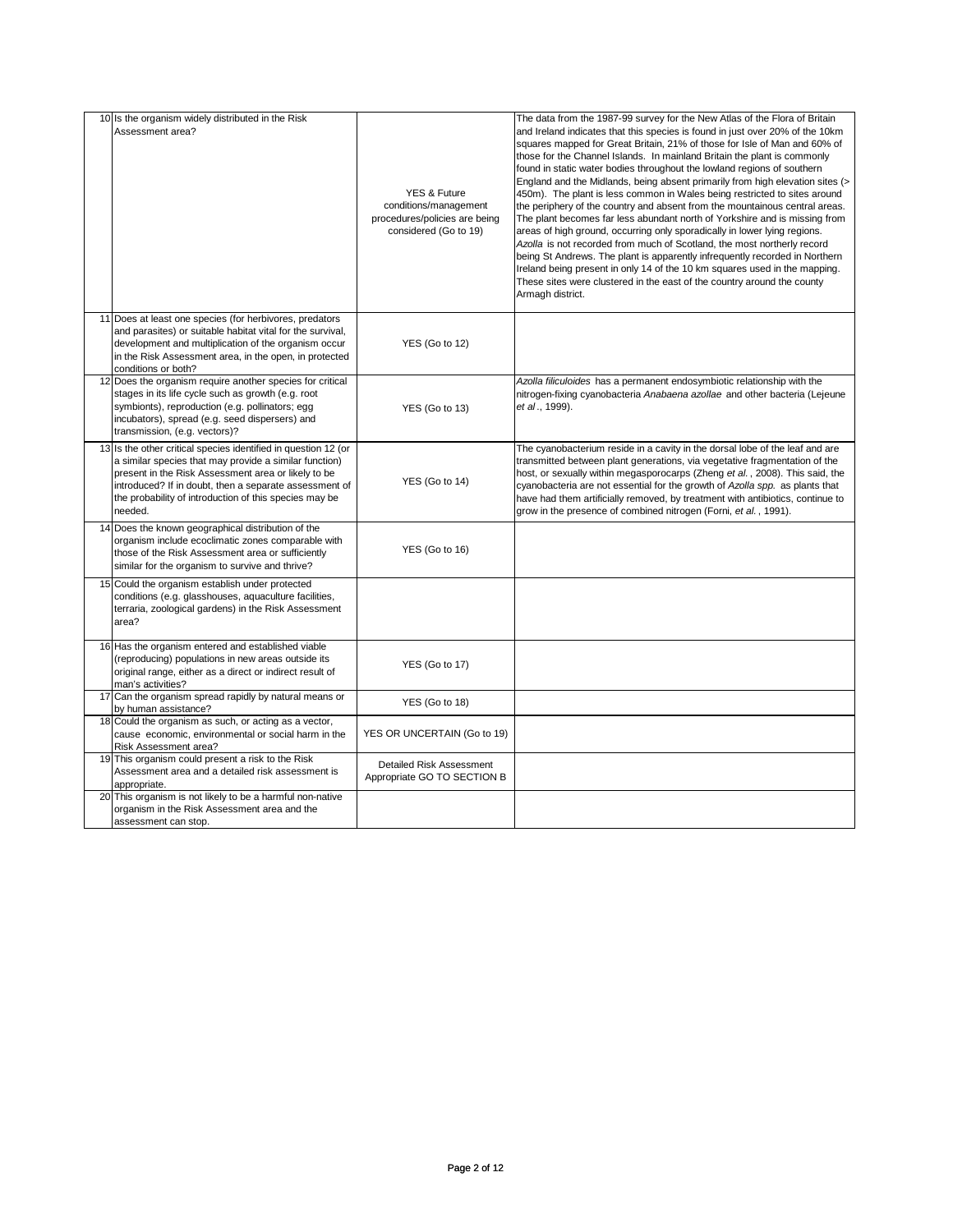| 10 Is the organism widely distributed in the Risk                                                                                                                                                                                                                                                              |                                                                                                            | The data from the 1987-99 survey for the New Atlas of the Flora of Britain                                                                                                                                                                                                                                                                                                                                                                                                                                                                                                                                                                                                                                                                                                                                                                                                                                                                                                                                                                                       |
|----------------------------------------------------------------------------------------------------------------------------------------------------------------------------------------------------------------------------------------------------------------------------------------------------------------|------------------------------------------------------------------------------------------------------------|------------------------------------------------------------------------------------------------------------------------------------------------------------------------------------------------------------------------------------------------------------------------------------------------------------------------------------------------------------------------------------------------------------------------------------------------------------------------------------------------------------------------------------------------------------------------------------------------------------------------------------------------------------------------------------------------------------------------------------------------------------------------------------------------------------------------------------------------------------------------------------------------------------------------------------------------------------------------------------------------------------------------------------------------------------------|
| Assessment area?                                                                                                                                                                                                                                                                                               | <b>YES &amp; Future</b><br>conditions/management<br>procedures/policies are being<br>considered (Go to 19) | and Ireland indicates that this species is found in just over 20% of the 10km<br>squares mapped for Great Britain, 21% of those for Isle of Man and 60% of<br>those for the Channel Islands. In mainland Britain the plant is commonly<br>found in static water bodies throughout the lowland regions of southern<br>England and the Midlands, being absent primarily from high elevation sites (><br>450m). The plant is less common in Wales being restricted to sites around<br>the periphery of the country and absent from the mountainous central areas.<br>The plant becomes far less abundant north of Yorkshire and is missing from<br>areas of high ground, occurring only sporadically in lower lying regions.<br>Azolla is not recorded from much of Scotland, the most northerly record<br>being St Andrews. The plant is apparently infrequently recorded in Northern<br>Ireland being present in only 14 of the 10 km squares used in the mapping.<br>These sites were clustered in the east of the country around the county<br>Armagh district. |
| 11 Does at least one species (for herbivores, predators<br>and parasites) or suitable habitat vital for the survival,<br>development and multiplication of the organism occur<br>in the Risk Assessment area, in the open, in protected<br>conditions or both?                                                 | YES (Go to 12)                                                                                             |                                                                                                                                                                                                                                                                                                                                                                                                                                                                                                                                                                                                                                                                                                                                                                                                                                                                                                                                                                                                                                                                  |
| 12 Does the organism require another species for critical<br>stages in its life cycle such as growth (e.g. root<br>symbionts), reproduction (e.g. pollinators; egg<br>incubators), spread (e.g. seed dispersers) and<br>transmission, (e.g. vectors)?                                                          | YES (Go to 13)                                                                                             | Azolla filiculoides has a permanent endosymbiotic relationship with the<br>nitrogen-fixing cyanobacteria Anabaena azollae and other bacteria (Lejeune<br>et al., 1999).                                                                                                                                                                                                                                                                                                                                                                                                                                                                                                                                                                                                                                                                                                                                                                                                                                                                                          |
| 13 Is the other critical species identified in question 12 (or<br>a similar species that may provide a similar function)<br>present in the Risk Assessment area or likely to be<br>introduced? If in doubt, then a separate assessment of<br>the probability of introduction of this species may be<br>needed. | YES (Go to 14)                                                                                             | The cyanobacterium reside in a cavity in the dorsal lobe of the leaf and are<br>transmitted between plant generations, via vegetative fragmentation of the<br>host, or sexually within megasporocarps (Zheng et al., 2008). This said, the<br>cyanobacteria are not essential for the growth of Azolla spp. as plants that<br>have had them artificially removed, by treatment with antibiotics, continue to<br>grow in the presence of combined nitrogen (Forni, et al., 1991).                                                                                                                                                                                                                                                                                                                                                                                                                                                                                                                                                                                 |
| 14 Does the known geographical distribution of the<br>organism include ecoclimatic zones comparable with<br>those of the Risk Assessment area or sufficiently<br>similar for the organism to survive and thrive?                                                                                               | YES (Go to 16)                                                                                             |                                                                                                                                                                                                                                                                                                                                                                                                                                                                                                                                                                                                                                                                                                                                                                                                                                                                                                                                                                                                                                                                  |
| 15 Could the organism establish under protected<br>conditions (e.g. glasshouses, aquaculture facilities,<br>terraria, zoological gardens) in the Risk Assessment<br>area?                                                                                                                                      |                                                                                                            |                                                                                                                                                                                                                                                                                                                                                                                                                                                                                                                                                                                                                                                                                                                                                                                                                                                                                                                                                                                                                                                                  |
| 16 Has the organism entered and established viable<br>(reproducing) populations in new areas outside its<br>original range, either as a direct or indirect result of<br>man's activities?                                                                                                                      | <b>YES (Go to 17)</b>                                                                                      |                                                                                                                                                                                                                                                                                                                                                                                                                                                                                                                                                                                                                                                                                                                                                                                                                                                                                                                                                                                                                                                                  |
| 17 Can the organism spread rapidly by natural means or<br>by human assistance?                                                                                                                                                                                                                                 | YES (Go to 18)                                                                                             |                                                                                                                                                                                                                                                                                                                                                                                                                                                                                                                                                                                                                                                                                                                                                                                                                                                                                                                                                                                                                                                                  |
| 18 Could the organism as such, or acting as a vector,<br>cause economic, environmental or social harm in the<br>Risk Assessment area?                                                                                                                                                                          | YES OR UNCERTAIN (Go to 19)                                                                                |                                                                                                                                                                                                                                                                                                                                                                                                                                                                                                                                                                                                                                                                                                                                                                                                                                                                                                                                                                                                                                                                  |
| 19 This organism could present a risk to the Risk<br>Assessment area and a detailed risk assessment is<br>appropriate.                                                                                                                                                                                         | Detailed Risk Assessment<br>Appropriate GO TO SECTION B                                                    |                                                                                                                                                                                                                                                                                                                                                                                                                                                                                                                                                                                                                                                                                                                                                                                                                                                                                                                                                                                                                                                                  |
| 20 This organism is not likely to be a harmful non-native<br>organism in the Risk Assessment area and the<br>assessment can stop.                                                                                                                                                                              |                                                                                                            |                                                                                                                                                                                                                                                                                                                                                                                                                                                                                                                                                                                                                                                                                                                                                                                                                                                                                                                                                                                                                                                                  |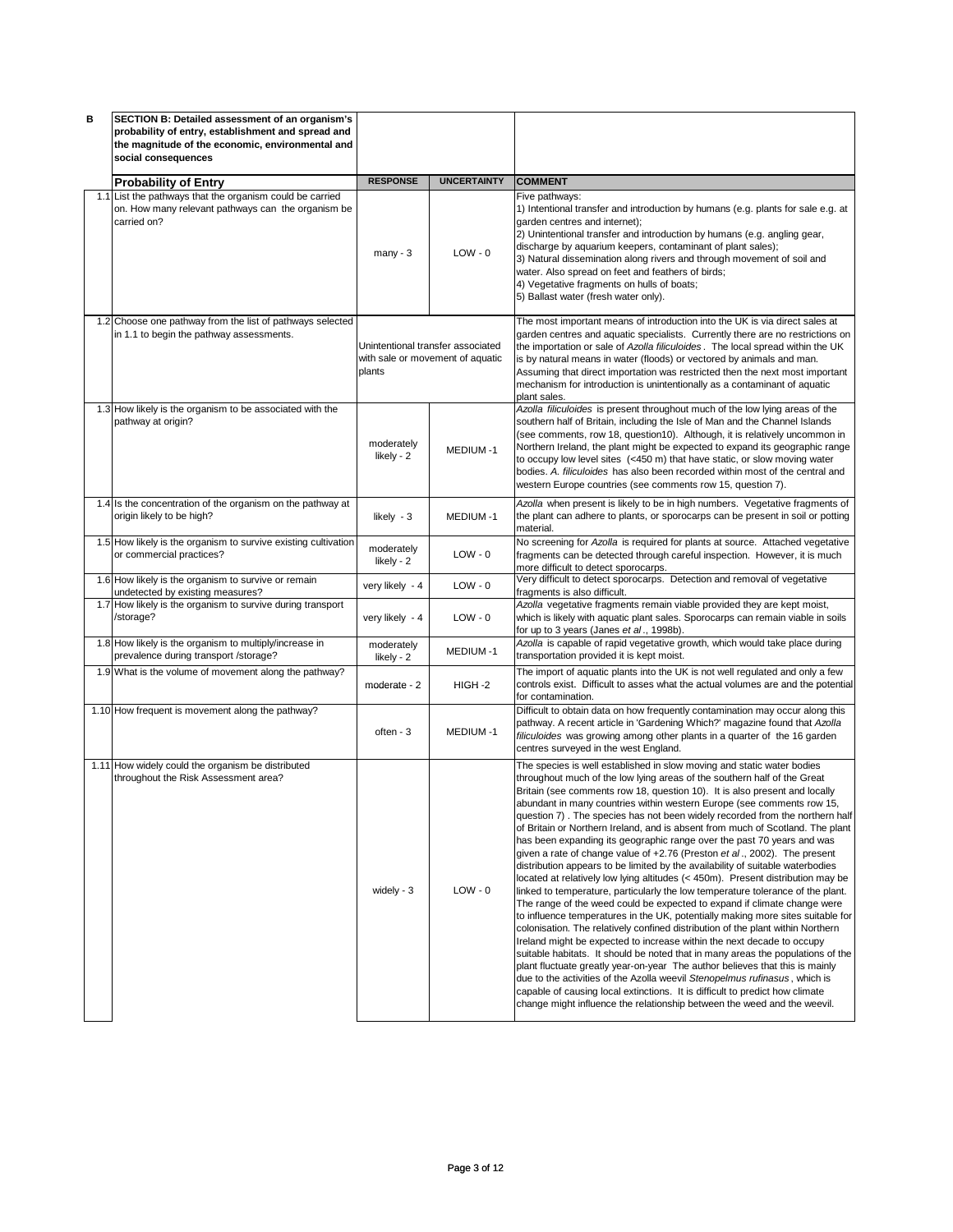| в | SECTION B: Detailed assessment of an organism's                                                       |                          |                                                                       |                                                                                                                                                                                                                                                                                                                                                                                                                                                                                                                                                                                                                                                                                                                                                                                                                                                                                                                                                                                                                                                                                                                                                                                                                                                                                                                                                                                                                                                                                                                                                                                                                                      |
|---|-------------------------------------------------------------------------------------------------------|--------------------------|-----------------------------------------------------------------------|--------------------------------------------------------------------------------------------------------------------------------------------------------------------------------------------------------------------------------------------------------------------------------------------------------------------------------------------------------------------------------------------------------------------------------------------------------------------------------------------------------------------------------------------------------------------------------------------------------------------------------------------------------------------------------------------------------------------------------------------------------------------------------------------------------------------------------------------------------------------------------------------------------------------------------------------------------------------------------------------------------------------------------------------------------------------------------------------------------------------------------------------------------------------------------------------------------------------------------------------------------------------------------------------------------------------------------------------------------------------------------------------------------------------------------------------------------------------------------------------------------------------------------------------------------------------------------------------------------------------------------------|
|   | probability of entry, establishment and spread and                                                    |                          |                                                                       |                                                                                                                                                                                                                                                                                                                                                                                                                                                                                                                                                                                                                                                                                                                                                                                                                                                                                                                                                                                                                                                                                                                                                                                                                                                                                                                                                                                                                                                                                                                                                                                                                                      |
|   | the magnitude of the economic, environmental and                                                      |                          |                                                                       |                                                                                                                                                                                                                                                                                                                                                                                                                                                                                                                                                                                                                                                                                                                                                                                                                                                                                                                                                                                                                                                                                                                                                                                                                                                                                                                                                                                                                                                                                                                                                                                                                                      |
|   | social consequences                                                                                   |                          |                                                                       |                                                                                                                                                                                                                                                                                                                                                                                                                                                                                                                                                                                                                                                                                                                                                                                                                                                                                                                                                                                                                                                                                                                                                                                                                                                                                                                                                                                                                                                                                                                                                                                                                                      |
|   |                                                                                                       | <b>RESPONSE</b>          | <b>UNCERTAINTY</b>                                                    | <b>COMMENT</b>                                                                                                                                                                                                                                                                                                                                                                                                                                                                                                                                                                                                                                                                                                                                                                                                                                                                                                                                                                                                                                                                                                                                                                                                                                                                                                                                                                                                                                                                                                                                                                                                                       |
|   | <b>Probability of Entry</b><br>1.1 List the pathways that the organism could be carried               |                          |                                                                       | Five pathways:                                                                                                                                                                                                                                                                                                                                                                                                                                                                                                                                                                                                                                                                                                                                                                                                                                                                                                                                                                                                                                                                                                                                                                                                                                                                                                                                                                                                                                                                                                                                                                                                                       |
|   | on. How many relevant pathways can the organism be<br>carried on?                                     | $many - 3$               | $LOW - 0$                                                             | 1) Intentional transfer and introduction by humans (e.g. plants for sale e.g. at<br>garden centres and internet);<br>2) Unintentional transfer and introduction by humans (e.g. angling gear,<br>discharge by aquarium keepers, contaminant of plant sales);<br>3) Natural dissemination along rivers and through movement of soil and<br>water. Also spread on feet and feathers of birds;<br>4) Vegetative fragments on hulls of boats;<br>5) Ballast water (fresh water only).                                                                                                                                                                                                                                                                                                                                                                                                                                                                                                                                                                                                                                                                                                                                                                                                                                                                                                                                                                                                                                                                                                                                                    |
|   | 1.2 Choose one pathway from the list of pathways selected<br>in 1.1 to begin the pathway assessments. | plants                   | Unintentional transfer associated<br>with sale or movement of aquatic | The most important means of introduction into the UK is via direct sales at<br>garden centres and aquatic specialists. Currently there are no restrictions on<br>the importation or sale of Azolla filiculoides. The local spread within the UK<br>is by natural means in water (floods) or vectored by animals and man.<br>Assuming that direct importation was restricted then the next most important                                                                                                                                                                                                                                                                                                                                                                                                                                                                                                                                                                                                                                                                                                                                                                                                                                                                                                                                                                                                                                                                                                                                                                                                                             |
|   |                                                                                                       |                          |                                                                       | mechanism for introduction is unintentionally as a contaminant of aquatic<br>plant sales.                                                                                                                                                                                                                                                                                                                                                                                                                                                                                                                                                                                                                                                                                                                                                                                                                                                                                                                                                                                                                                                                                                                                                                                                                                                                                                                                                                                                                                                                                                                                            |
|   | 1.3 How likely is the organism to be associated with the<br>pathway at origin?                        | moderately<br>likely - 2 | MEDIUM-1                                                              | Azolla filiculoides is present throughout much of the low lying areas of the<br>southern half of Britain, including the Isle of Man and the Channel Islands<br>(see comments, row 18, question10). Although, it is relatively uncommon in<br>Northern Ireland, the plant might be expected to expand its geographic range<br>to occupy low level sites (<450 m) that have static, or slow moving water<br>bodies. A. filiculoides has also been recorded within most of the central and<br>western Europe countries (see comments row 15, question 7).                                                                                                                                                                                                                                                                                                                                                                                                                                                                                                                                                                                                                                                                                                                                                                                                                                                                                                                                                                                                                                                                               |
|   | 1.4 Is the concentration of the organism on the pathway at<br>origin likely to be high?               | likely - 3               | MEDIUM-1                                                              | Azolla when present is likely to be in high numbers. Vegetative fragments of<br>the plant can adhere to plants, or sporocarps can be present in soil or potting<br>material.                                                                                                                                                                                                                                                                                                                                                                                                                                                                                                                                                                                                                                                                                                                                                                                                                                                                                                                                                                                                                                                                                                                                                                                                                                                                                                                                                                                                                                                         |
|   | 1.5 How likely is the organism to survive existing cultivation<br>or commercial practices?            | moderately<br>likely - 2 | $LOW - 0$                                                             | No screening for Azolla is required for plants at source. Attached vegetative<br>fragments can be detected through careful inspection. However, it is much<br>more difficult to detect sporocarps.                                                                                                                                                                                                                                                                                                                                                                                                                                                                                                                                                                                                                                                                                                                                                                                                                                                                                                                                                                                                                                                                                                                                                                                                                                                                                                                                                                                                                                   |
|   | 1.6 How likely is the organism to survive or remain<br>undetected by existing measures?               | very likely - 4          | $LOW - 0$                                                             | Very difficult to detect sporocarps. Detection and removal of vegetative<br>fragments is also difficult.                                                                                                                                                                                                                                                                                                                                                                                                                                                                                                                                                                                                                                                                                                                                                                                                                                                                                                                                                                                                                                                                                                                                                                                                                                                                                                                                                                                                                                                                                                                             |
|   | 1.7 How likely is the organism to survive during transport<br>/storage?                               | very likely - 4          | $LOW - 0$                                                             | Azolla vegetative fragments remain viable provided they are kept moist,<br>which is likely with aquatic plant sales. Sporocarps can remain viable in soils<br>for up to 3 years (Janes et al., 1998b).                                                                                                                                                                                                                                                                                                                                                                                                                                                                                                                                                                                                                                                                                                                                                                                                                                                                                                                                                                                                                                                                                                                                                                                                                                                                                                                                                                                                                               |
|   | 1.8 How likely is the organism to multiply/increase in<br>prevalence during transport /storage?       | moderately<br>likely - 2 | MEDIUM-1                                                              | Azolla is capable of rapid vegetative growth, which would take place during<br>transportation provided it is kept moist.                                                                                                                                                                                                                                                                                                                                                                                                                                                                                                                                                                                                                                                                                                                                                                                                                                                                                                                                                                                                                                                                                                                                                                                                                                                                                                                                                                                                                                                                                                             |
|   | 1.9 What is the volume of movement along the pathway?                                                 | moderate - 2             | HIGH-2                                                                | The import of aquatic plants into the UK is not well regulated and only a few<br>controls exist. Difficult to asses what the actual volumes are and the potential<br>for contamination.                                                                                                                                                                                                                                                                                                                                                                                                                                                                                                                                                                                                                                                                                                                                                                                                                                                                                                                                                                                                                                                                                                                                                                                                                                                                                                                                                                                                                                              |
|   | 1.10 How frequent is movement along the pathway?                                                      | often - 3                | MEDIUM-1                                                              | Difficult to obtain data on how frequently contamination may occur along this<br>pathway. A recent article in 'Gardening Which?' magazine found that Azolla<br>filiculoides was growing among other plants in a quarter of the 16 garden<br>centres surveyed in the west England.                                                                                                                                                                                                                                                                                                                                                                                                                                                                                                                                                                                                                                                                                                                                                                                                                                                                                                                                                                                                                                                                                                                                                                                                                                                                                                                                                    |
|   | 1.11 How widely could the organism be distributed<br>throughout the Risk Assessment area?             | widely - $3$             | $LOW - 0$                                                             | The species is well established in slow moving and static water bodies<br>throughout much of the low lying areas of the southern half of the Great<br>Britain (see comments row 18, question 10). It is also present and locally<br>abundant in many countries within western Europe (see comments row 15,<br>question 7). The species has not been widely recorded from the northern half<br>of Britain or Northern Ireland, and is absent from much of Scotland. The plant<br>has been expanding its geographic range over the past 70 years and was<br>given a rate of change value of +2.76 (Preston et al., 2002). The present<br>distribution appears to be limited by the availability of suitable waterbodies<br>located at relatively low lying altitudes (< 450m). Present distribution may be<br>linked to temperature, particularly the low temperature tolerance of the plant.<br>The range of the weed could be expected to expand if climate change were<br>to influence temperatures in the UK, potentially making more sites suitable for<br>colonisation. The relatively confined distribution of the plant within Northern<br>Ireland might be expected to increase within the next decade to occupy<br>suitable habitats. It should be noted that in many areas the populations of the<br>plant fluctuate greatly year-on-year The author believes that this is mainly<br>due to the activities of the Azolla weevil Stenopelmus rufinasus, which is<br>capable of causing local extinctions. It is difficult to predict how climate<br>change might influence the relationship between the weed and the weevil. |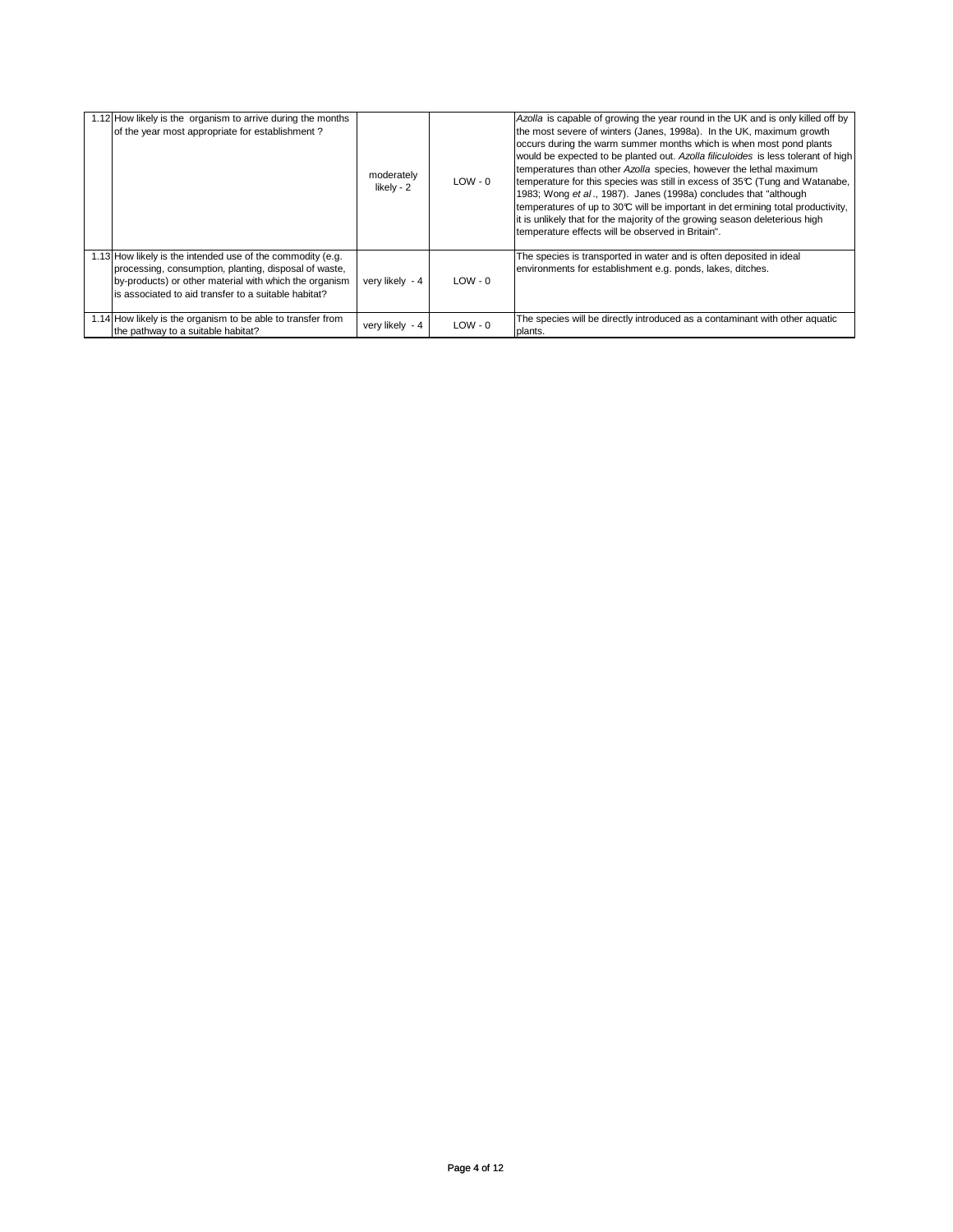| 1.12 How likely is the organism to arrive during the months<br>of the year most appropriate for establishment?                                                                                                                        | moderately<br>likely - 2 | $LOW - 0$ | Azolla is capable of growing the year round in the UK and is only killed off by<br>the most severe of winters (Janes, 1998a). In the UK, maximum growth<br>occurs during the warm summer months which is when most pond plants<br>would be expected to be planted out. Azolla filiculoides is less tolerant of high<br>temperatures than other Azolla species, however the lethal maximum<br>temperature for this species was still in excess of 35°C (Tung and Watanabe,<br>1983; Wong et al., 1987). Janes (1998a) concludes that "although<br>temperatures of up to 30°C will be important in det ermining total productivity,<br>it is unlikely that for the majority of the growing season deleterious high<br>temperature effects will be observed in Britain". |
|---------------------------------------------------------------------------------------------------------------------------------------------------------------------------------------------------------------------------------------|--------------------------|-----------|-----------------------------------------------------------------------------------------------------------------------------------------------------------------------------------------------------------------------------------------------------------------------------------------------------------------------------------------------------------------------------------------------------------------------------------------------------------------------------------------------------------------------------------------------------------------------------------------------------------------------------------------------------------------------------------------------------------------------------------------------------------------------|
| 1.13 How likely is the intended use of the commodity (e.g.<br>processing, consumption, planting, disposal of waste,<br>by-products) or other material with which the organism<br>is associated to aid transfer to a suitable habitat? | very likely - 4          | $LOW - 0$ | The species is transported in water and is often deposited in ideal<br>environments for establishment e.g. ponds, lakes, ditches.                                                                                                                                                                                                                                                                                                                                                                                                                                                                                                                                                                                                                                     |
| 1.14 How likely is the organism to be able to transfer from<br>the pathway to a suitable habitat?                                                                                                                                     | very likely - 4          | $LOW - 0$ | The species will be directly introduced as a contaminant with other aquatic<br>plants.                                                                                                                                                                                                                                                                                                                                                                                                                                                                                                                                                                                                                                                                                |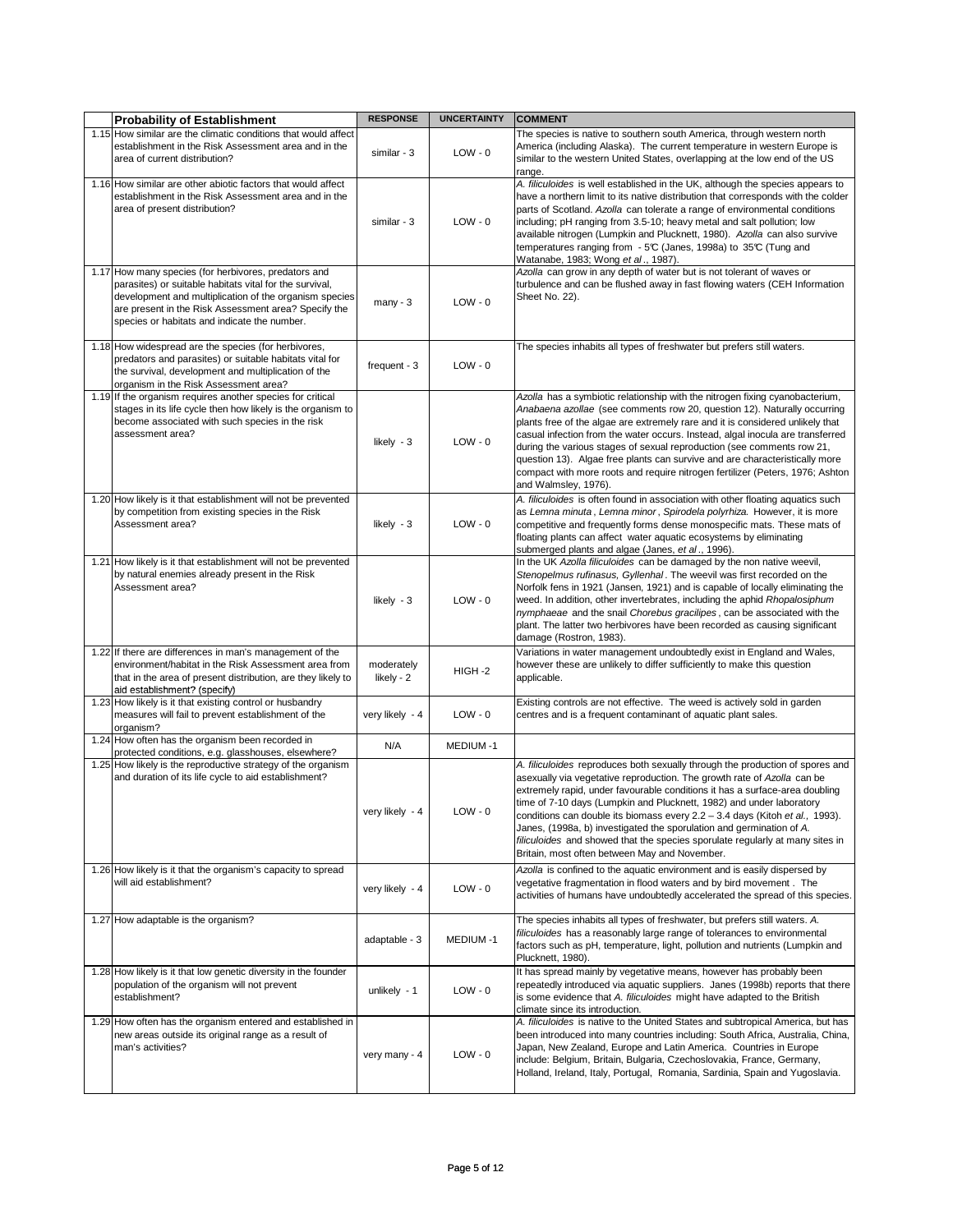| <b>Probability of Establishment</b>                                                                                                                                                                                                                                               | <b>RESPONSE</b>          | <b>UNCERTAINTY</b> | <b>COMMENT</b>                                                                                                                                                                                                                                                                                                                                                                                                                                                                                                                                                                                            |
|-----------------------------------------------------------------------------------------------------------------------------------------------------------------------------------------------------------------------------------------------------------------------------------|--------------------------|--------------------|-----------------------------------------------------------------------------------------------------------------------------------------------------------------------------------------------------------------------------------------------------------------------------------------------------------------------------------------------------------------------------------------------------------------------------------------------------------------------------------------------------------------------------------------------------------------------------------------------------------|
| 1.15 How similar are the climatic conditions that would affect<br>establishment in the Risk Assessment area and in the<br>area of current distribution?                                                                                                                           | similar - 3              | $LOW - 0$          | The species is native to southern south America, through western north<br>America (including Alaska). The current temperature in western Europe is<br>similar to the western United States, overlapping at the low end of the US<br>range.                                                                                                                                                                                                                                                                                                                                                                |
| 1.16 How similar are other abiotic factors that would affect<br>establishment in the Risk Assessment area and in the<br>area of present distribution?                                                                                                                             | similar - 3              | $LOW - 0$          | A. filiculoides is well established in the UK, although the species appears to<br>have a northern limit to its native distribution that corresponds with the colder<br>parts of Scotland. Azolla can tolerate a range of environmental conditions<br>including; pH ranging from 3.5-10; heavy metal and salt pollution; low<br>available nitrogen (Lumpkin and Plucknett, 1980). Azolla can also survive<br>temperatures ranging from - 5℃ (Janes, 1998a) to 35℃ (Tung and<br>Watanabe, 1983; Wong et al., 1987).                                                                                         |
| 1.17 How many species (for herbivores, predators and<br>parasites) or suitable habitats vital for the survival,<br>development and multiplication of the organism species<br>are present in the Risk Assessment area? Specify the<br>species or habitats and indicate the number. | $many - 3$               | $LOW - 0$          | Azolla can grow in any depth of water but is not tolerant of waves or<br>turbulence and can be flushed away in fast flowing waters (CEH Information<br>Sheet No. 22).                                                                                                                                                                                                                                                                                                                                                                                                                                     |
| 1.18 How widespread are the species (for herbivores,<br>predators and parasites) or suitable habitats vital for<br>the survival, development and multiplication of the<br>organism in the Risk Assessment area?                                                                   | frequent - 3             | $LOW - 0$          | The species inhabits all types of freshwater but prefers still waters.                                                                                                                                                                                                                                                                                                                                                                                                                                                                                                                                    |
| 1.19 If the organism requires another species for critical<br>stages in its life cycle then how likely is the organism to<br>become associated with such species in the risk<br>assessment area?                                                                                  | likely - 3               | $LOW - 0$          | Azolla has a symbiotic relationship with the nitrogen fixing cyanobacterium,<br>Anabaena azollae (see comments row 20, question 12). Naturally occurring<br>plants free of the algae are extremely rare and it is considered unlikely that<br>casual infection from the water occurs. Instead, algal inocula are transferred<br>during the various stages of sexual reproduction (see comments row 21,<br>question 13). Algae free plants can survive and are characteristically more<br>compact with more roots and require nitrogen fertilizer (Peters, 1976; Ashton<br>and Walmsley, 1976).            |
| 1.20 How likely is it that establishment will not be prevented<br>by competition from existing species in the Risk<br>Assessment area?                                                                                                                                            | likely - 3               | $LOW - 0$          | A. filiculoides is often found in association with other floating aquatics such<br>as Lemna minuta, Lemna minor, Spirodela polyrhiza. However, it is more<br>competitive and frequently forms dense monospecific mats. These mats of<br>floating plants can affect water aquatic ecosystems by eliminating<br>submerged plants and algae (Janes, et al., 1996).                                                                                                                                                                                                                                           |
| 1.21 How likely is it that establishment will not be prevented<br>by natural enemies already present in the Risk<br>Assessment area?                                                                                                                                              | likely - 3               | $LOW - 0$          | In the UK Azolla filiculoides can be damaged by the non native weevil,<br>Stenopelmus rufinasus, Gyllenhal. The weevil was first recorded on the<br>Norfolk fens in 1921 (Jansen, 1921) and is capable of locally eliminating the<br>weed. In addition, other invertebrates, including the aphid Rhopalosiphum<br>nymphaeae and the snail Chorebus gracilipes, can be associated with the<br>plant. The latter two herbivores have been recorded as causing significant<br>damage (Rostron, 1983).                                                                                                        |
| 1.22 If there are differences in man's management of the<br>environment/habitat in the Risk Assessment area from<br>that in the area of present distribution, are they likely to<br>aid establishment? (specify)                                                                  | moderately<br>likely - 2 | HIGH-2             | Variations in water management undoubtedly exist in England and Wales,<br>however these are unlikely to differ sufficiently to make this question<br>applicable.                                                                                                                                                                                                                                                                                                                                                                                                                                          |
| 1.23 How likely is it that existing control or husbandry<br>measures will fail to prevent establishment of the<br>organism?                                                                                                                                                       | very likely - 4          | $LOW - 0$          | Existing controls are not effective. The weed is actively sold in garden<br>centres and is a frequent contaminant of aquatic plant sales.                                                                                                                                                                                                                                                                                                                                                                                                                                                                 |
| 1.24 How often has the organism been recorded in<br>protected conditions, e.g. glasshouses, elsewhere?                                                                                                                                                                            | N/A                      | MEDIUM-1           |                                                                                                                                                                                                                                                                                                                                                                                                                                                                                                                                                                                                           |
| 1.25 How likely is the reproductive strategy of the organism<br>and duration of its life cycle to aid establishment?                                                                                                                                                              | very likely - 4          | LOW - 0            | A. filiculoides reproduces both sexually through the production of spores and<br>asexually via vegetative reproduction. The growth rate of Azolla can be<br>extremely rapid, under favourable conditions it has a surface-area doubling<br>time of 7-10 days (Lumpkin and Plucknett, 1982) and under laboratory<br>conditions can double its biomass every 2.2 - 3.4 days (Kitoh et al., 1993).<br>Janes, (1998a, b) investigated the sporulation and germination of A.<br>filiculoides and showed that the species sporulate regularly at many sites in<br>Britain, most often between May and November. |
| 1.26 How likely is it that the organism's capacity to spread<br>will aid establishment?                                                                                                                                                                                           | very likely - 4          | $LOW - 0$          | Azolla is confined to the aquatic environment and is easily dispersed by<br>vegetative fragmentation in flood waters and by bird movement. The<br>activities of humans have undoubtedly accelerated the spread of this species.                                                                                                                                                                                                                                                                                                                                                                           |
| 1.27 How adaptable is the organism?                                                                                                                                                                                                                                               | adaptable - 3            | MEDIUM-1           | The species inhabits all types of freshwater, but prefers still waters. A.<br>filiculoides has a reasonably large range of tolerances to environmental<br>factors such as pH, temperature, light, pollution and nutrients (Lumpkin and<br>Plucknett, 1980).                                                                                                                                                                                                                                                                                                                                               |
| 1.28 How likely is it that low genetic diversity in the founder<br>population of the organism will not prevent<br>establishment?                                                                                                                                                  | unlikely $-1$            | $LOW - 0$          | It has spread mainly by vegetative means, however has probably been<br>repeatedly introduced via aquatic suppliers. Janes (1998b) reports that there<br>is some evidence that A. filiculoides might have adapted to the British<br>climate since its introduction.                                                                                                                                                                                                                                                                                                                                        |
| 1.29 How often has the organism entered and established in<br>new areas outside its original range as a result of<br>man's activities?                                                                                                                                            | very many - 4            | $LOW - 0$          | A. filiculoides is native to the United States and subtropical America, but has<br>been introduced into many countries including: South Africa, Australia, China,<br>Japan, New Zealand, Europe and Latin America. Countries in Europe<br>include: Belgium, Britain, Bulgaria, Czechoslovakia, France, Germany,<br>Holland, Ireland, Italy, Portugal, Romania, Sardinia, Spain and Yugoslavia.                                                                                                                                                                                                            |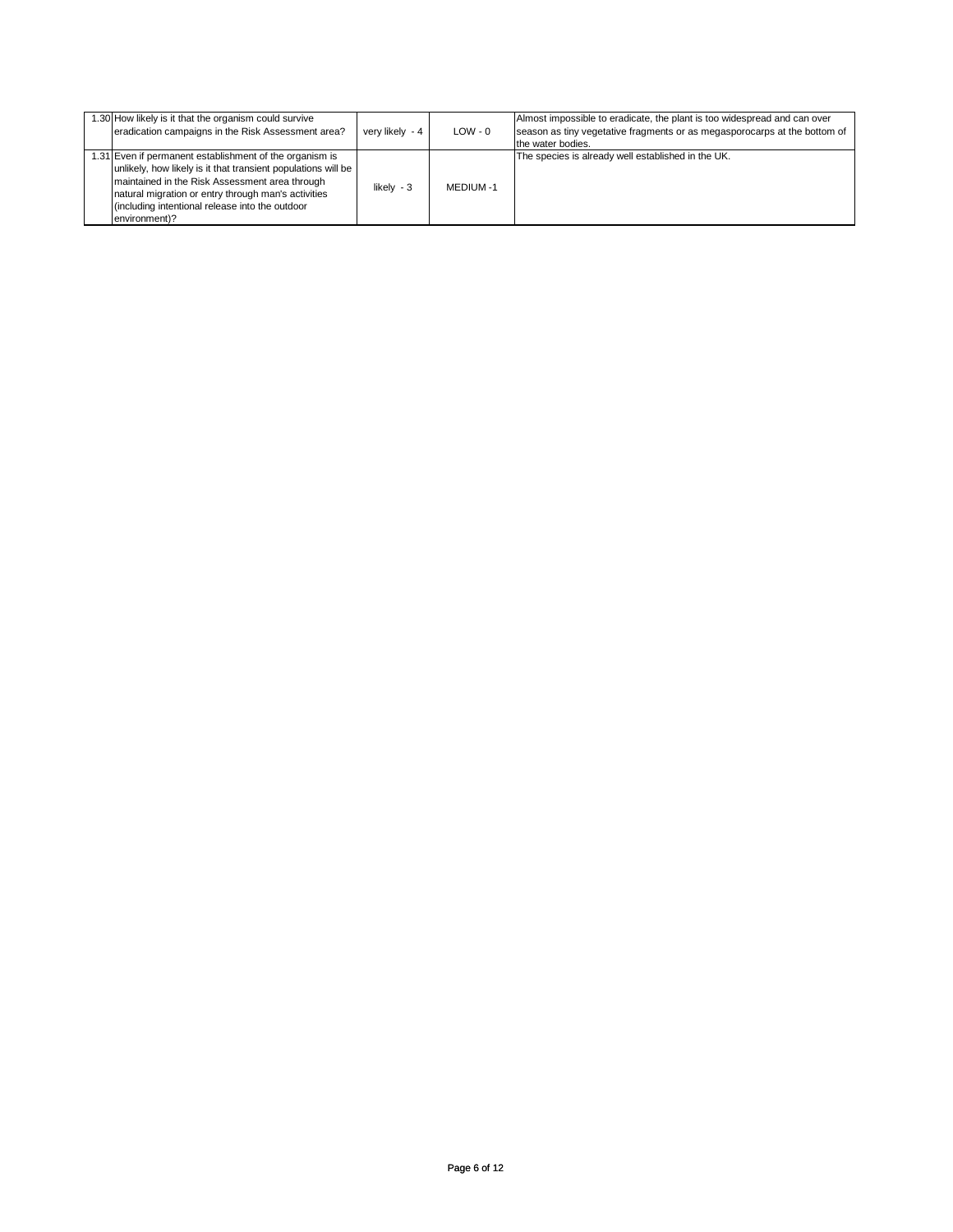| 1.30 How likely is it that the organism could survive<br>eradication campaigns in the Risk Assessment area?                                                                                                                                                                                           | very likely - 4 | $LOW - 0$ | Almost impossible to eradicate, the plant is too widespread and can over<br>season as tiny vegetative fragments or as megasporocarps at the bottom of<br>the water bodies. |
|-------------------------------------------------------------------------------------------------------------------------------------------------------------------------------------------------------------------------------------------------------------------------------------------------------|-----------------|-----------|----------------------------------------------------------------------------------------------------------------------------------------------------------------------------|
| 1.31 Even if permanent establishment of the organism is<br>unlikely, how likely is it that transient populations will be<br>maintained in the Risk Assessment area through<br>natural migration or entry through man's activities<br>(including intentional release into the outdoor<br>environment)? | likely $-3$     | MEDIUM -1 | The species is already well established in the UK.                                                                                                                         |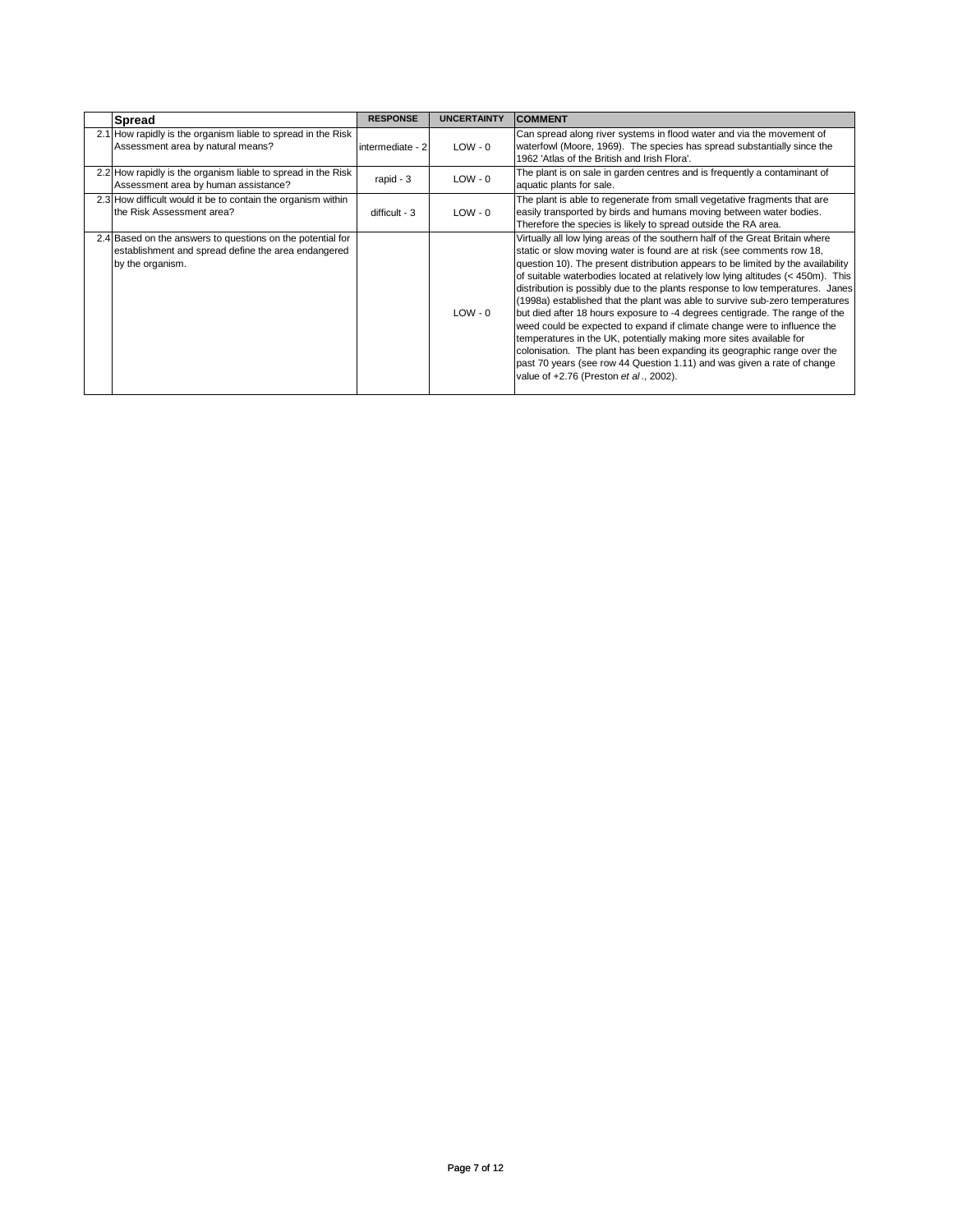| <b>Spread</b>                                                                                                                         | <b>RESPONSE</b>  | <b>UNCERTAINTY</b> | <b>COMMENT</b>                                                                                                                                                                                                                                                                                                                                                                                                                                                                                                                                                                                                                                                                                                                                                                                                                                                                                                                       |
|---------------------------------------------------------------------------------------------------------------------------------------|------------------|--------------------|--------------------------------------------------------------------------------------------------------------------------------------------------------------------------------------------------------------------------------------------------------------------------------------------------------------------------------------------------------------------------------------------------------------------------------------------------------------------------------------------------------------------------------------------------------------------------------------------------------------------------------------------------------------------------------------------------------------------------------------------------------------------------------------------------------------------------------------------------------------------------------------------------------------------------------------|
| 2.1 How rapidly is the organism liable to spread in the Risk<br>Assessment area by natural means?                                     | intermediate - 2 | $LOW - 0$          | Can spread along river systems in flood water and via the movement of<br>waterfowl (Moore, 1969). The species has spread substantially since the<br>1962 'Atlas of the British and Irish Flora'.                                                                                                                                                                                                                                                                                                                                                                                                                                                                                                                                                                                                                                                                                                                                     |
| 2.2 How rapidly is the organism liable to spread in the Risk<br>Assessment area by human assistance?                                  | rapid - 3        | $LOW - 0$          | The plant is on sale in garden centres and is frequently a contaminant of<br>aquatic plants for sale.                                                                                                                                                                                                                                                                                                                                                                                                                                                                                                                                                                                                                                                                                                                                                                                                                                |
| 2.3 How difficult would it be to contain the organism within<br>the Risk Assessment area?                                             | difficult - 3    | $LOW - 0$          | The plant is able to regenerate from small vegetative fragments that are<br>easily transported by birds and humans moving between water bodies.<br>Therefore the species is likely to spread outside the RA area.                                                                                                                                                                                                                                                                                                                                                                                                                                                                                                                                                                                                                                                                                                                    |
| 2.4 Based on the answers to questions on the potential for<br>establishment and spread define the area endangered<br>by the organism. |                  | $LOW - 0$          | Virtually all low lying areas of the southern half of the Great Britain where<br>static or slow moving water is found are at risk (see comments row 18,<br>question 10). The present distribution appears to be limited by the availability<br>of suitable waterbodies located at relatively low lying altitudes (< 450m). This<br>distribution is possibly due to the plants response to low temperatures. Janes<br>(1998a) established that the plant was able to survive sub-zero temperatures<br>but died after 18 hours exposure to -4 degrees centigrade. The range of the<br>weed could be expected to expand if climate change were to influence the<br>temperatures in the UK, potentially making more sites available for<br>colonisation. The plant has been expanding its geographic range over the<br>past 70 years (see row 44 Question 1.11) and was given a rate of change<br>value of +2.76 (Preston et al., 2002). |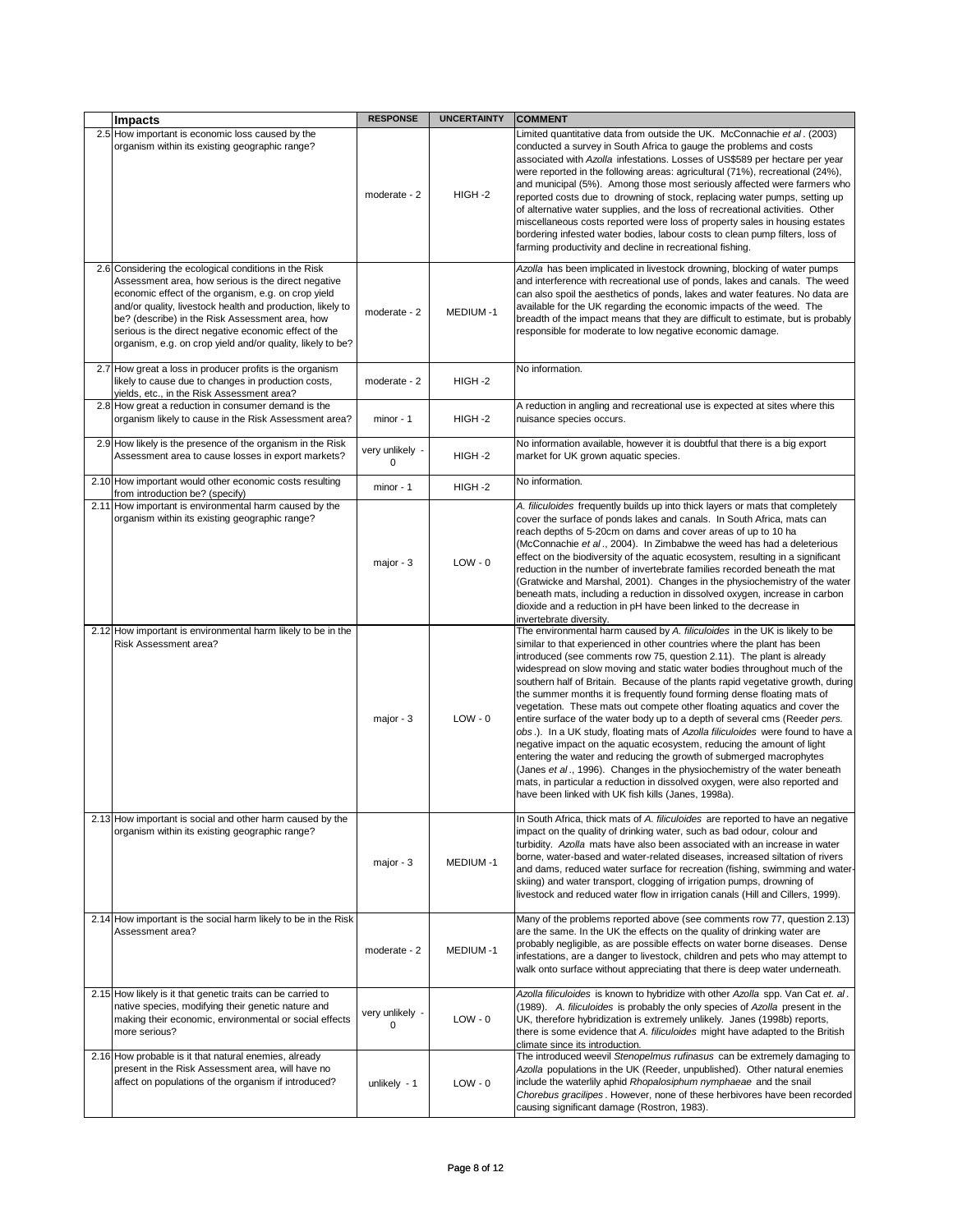| <b>Impacts</b>                                                                                                                                                                                                                                                                                                                                                                                              | <b>RESPONSE</b>                | <b>UNCERTAINTY</b> | <b>COMMENT</b>                                                                                                                                                                                                                                                                                                                                                                                                                                                                                                                                                                                                                                                                                                                                                                                                                                                                                                                                                                                                                                                                             |
|-------------------------------------------------------------------------------------------------------------------------------------------------------------------------------------------------------------------------------------------------------------------------------------------------------------------------------------------------------------------------------------------------------------|--------------------------------|--------------------|--------------------------------------------------------------------------------------------------------------------------------------------------------------------------------------------------------------------------------------------------------------------------------------------------------------------------------------------------------------------------------------------------------------------------------------------------------------------------------------------------------------------------------------------------------------------------------------------------------------------------------------------------------------------------------------------------------------------------------------------------------------------------------------------------------------------------------------------------------------------------------------------------------------------------------------------------------------------------------------------------------------------------------------------------------------------------------------------|
| 2.5 How important is economic loss caused by the<br>organism within its existing geographic range?                                                                                                                                                                                                                                                                                                          | moderate - 2                   | HIGH-2             | Limited quantitative data from outside the UK. McConnachie et al. (2003)<br>conducted a survey in South Africa to gauge the problems and costs<br>associated with Azolla infestations. Losses of US\$589 per hectare per year<br>were reported in the following areas: agricultural (71%), recreational (24%),<br>and municipal (5%). Among those most seriously affected were farmers who<br>reported costs due to drowning of stock, replacing water pumps, setting up<br>of alternative water supplies, and the loss of recreational activities. Other<br>miscellaneous costs reported were loss of property sales in housing estates<br>bordering infested water bodies, labour costs to clean pump filters, loss of<br>farming productivity and decline in recreational fishing.                                                                                                                                                                                                                                                                                                      |
| 2.6 Considering the ecological conditions in the Risk<br>Assessment area, how serious is the direct negative<br>economic effect of the organism, e.g. on crop yield<br>and/or quality, livestock health and production, likely to<br>be? (describe) in the Risk Assessment area, how<br>serious is the direct negative economic effect of the<br>organism, e.g. on crop yield and/or quality, likely to be? | moderate - 2                   | <b>MEDIUM-1</b>    | Azolla has been implicated in livestock drowning, blocking of water pumps<br>and interference with recreational use of ponds, lakes and canals. The weed<br>can also spoil the aesthetics of ponds, lakes and water features. No data are<br>available for the UK regarding the economic impacts of the weed. The<br>breadth of the impact means that they are difficult to estimate, but is probably<br>responsible for moderate to low negative economic damage.                                                                                                                                                                                                                                                                                                                                                                                                                                                                                                                                                                                                                         |
| 2.7 How great a loss in producer profits is the organism<br>likely to cause due to changes in production costs,<br>yields, etc., in the Risk Assessment area?                                                                                                                                                                                                                                               | moderate - 2                   | HIGH-2             | No information.                                                                                                                                                                                                                                                                                                                                                                                                                                                                                                                                                                                                                                                                                                                                                                                                                                                                                                                                                                                                                                                                            |
| 2.8 How great a reduction in consumer demand is the<br>organism likely to cause in the Risk Assessment area?                                                                                                                                                                                                                                                                                                | $minor - 1$                    | HIGH-2             | A reduction in angling and recreational use is expected at sites where this<br>nuisance species occurs.                                                                                                                                                                                                                                                                                                                                                                                                                                                                                                                                                                                                                                                                                                                                                                                                                                                                                                                                                                                    |
| 2.9 How likely is the presence of the organism in the Risk<br>Assessment area to cause losses in export markets?                                                                                                                                                                                                                                                                                            | very unlikely -<br>$\Omega$    | HIGH-2             | No information available, however it is doubtful that there is a big export<br>market for UK grown aquatic species.                                                                                                                                                                                                                                                                                                                                                                                                                                                                                                                                                                                                                                                                                                                                                                                                                                                                                                                                                                        |
| 2.10 How important would other economic costs resulting<br>from introduction be? (specify)                                                                                                                                                                                                                                                                                                                  | minor - 1                      | HIGH-2             | No information.                                                                                                                                                                                                                                                                                                                                                                                                                                                                                                                                                                                                                                                                                                                                                                                                                                                                                                                                                                                                                                                                            |
| 2.11 How important is environmental harm caused by the<br>organism within its existing geographic range?                                                                                                                                                                                                                                                                                                    | major - 3                      | $LOW - 0$          | A. filiculoides frequently builds up into thick layers or mats that completely<br>cover the surface of ponds lakes and canals. In South Africa, mats can<br>reach depths of 5-20cm on dams and cover areas of up to 10 ha<br>(McConnachie et al., 2004). In Zimbabwe the weed has had a deleterious<br>effect on the biodiversity of the aquatic ecosystem, resulting in a significant<br>reduction in the number of invertebrate families recorded beneath the mat<br>(Gratwicke and Marshal, 2001). Changes in the physiochemistry of the water<br>beneath mats, including a reduction in dissolved oxygen, increase in carbon<br>dioxide and a reduction in pH have been linked to the decrease in<br>invertebrate diversity.                                                                                                                                                                                                                                                                                                                                                           |
| 2.12 How important is environmental harm likely to be in the<br>Risk Assessment area?                                                                                                                                                                                                                                                                                                                       | major - 3                      | $LOW - 0$          | The environmental harm caused by A. filiculoides in the UK is likely to be<br>similar to that experienced in other countries where the plant has been<br>introduced (see comments row 75, question 2.11). The plant is already<br>widespread on slow moving and static water bodies throughout much of the<br>southern half of Britain. Because of the plants rapid vegetative growth, during<br>the summer months it is frequently found forming dense floating mats of<br>vegetation. These mats out compete other floating aquatics and cover the<br>entire surface of the water body up to a depth of several cms (Reeder pers.<br>obs.). In a UK study, floating mats of Azolla filiculoides were found to have a<br>negative impact on the aquatic ecosystem, reducing the amount of light<br>entering the water and reducing the growth of submerged macrophytes<br>(Janes et al., 1996). Changes in the physiochemistry of the water beneath<br>mats, in particular a reduction in dissolved oxygen, were also reported and<br>have been linked with UK fish kills (Janes, 1998a). |
| 2.13 How important is social and other harm caused by the<br>organism within its existing geographic range?                                                                                                                                                                                                                                                                                                 | major - $3$                    | MEDIUM-1           | In South Africa, thick mats of A. filiculoides are reported to have an negative<br>impact on the quality of drinking water, such as bad odour, colour and<br>turbidity. Azolla mats have also been associated with an increase in water<br>borne, water-based and water-related diseases, increased siltation of rivers<br>and dams, reduced water surface for recreation (fishing, swimming and water-<br>skiing) and water transport, clogging of irrigation pumps, drowning of<br>livestock and reduced water flow in irrigation canals (Hill and Cillers, 1999).                                                                                                                                                                                                                                                                                                                                                                                                                                                                                                                       |
| 2.14 How important is the social harm likely to be in the Risk<br>Assessment area?                                                                                                                                                                                                                                                                                                                          | moderate - 2                   | MEDIUM-1           | Many of the problems reported above (see comments row 77, question 2.13)<br>are the same. In the UK the effects on the quality of drinking water are<br>probably negligible, as are possible effects on water borne diseases. Dense<br>infestations, are a danger to livestock, children and pets who may attempt to<br>walk onto surface without appreciating that there is deep water underneath.                                                                                                                                                                                                                                                                                                                                                                                                                                                                                                                                                                                                                                                                                        |
| 2.15 How likely is it that genetic traits can be carried to<br>native species, modifying their genetic nature and<br>making their economic, environmental or social effects<br>more serious?                                                                                                                                                                                                                | very unlikely -<br>$\mathbf 0$ | $LOW - 0$          | Azolla filiculoides is known to hybridize with other Azolla spp. Van Cat et. al.<br>(1989). A. filiculoides is probably the only species of Azolla present in the<br>UK, therefore hybridization is extremely unlikely. Janes (1998b) reports,<br>there is some evidence that A. filiculoides might have adapted to the British<br>climate since its introduction.                                                                                                                                                                                                                                                                                                                                                                                                                                                                                                                                                                                                                                                                                                                         |
| 2.16 How probable is it that natural enemies, already<br>present in the Risk Assessment area, will have no<br>affect on populations of the organism if introduced?                                                                                                                                                                                                                                          | unlikely $-1$                  | $LOW - 0$          | The introduced weevil Stenopelmus rufinasus can be extremely damaging to<br>Azolla populations in the UK (Reeder, unpublished). Other natural enemies<br>include the waterlily aphid Rhopalosiphum nymphaeae and the snail<br>Chorebus gracilipes. However, none of these herbivores have been recorded<br>causing significant damage (Rostron, 1983).                                                                                                                                                                                                                                                                                                                                                                                                                                                                                                                                                                                                                                                                                                                                     |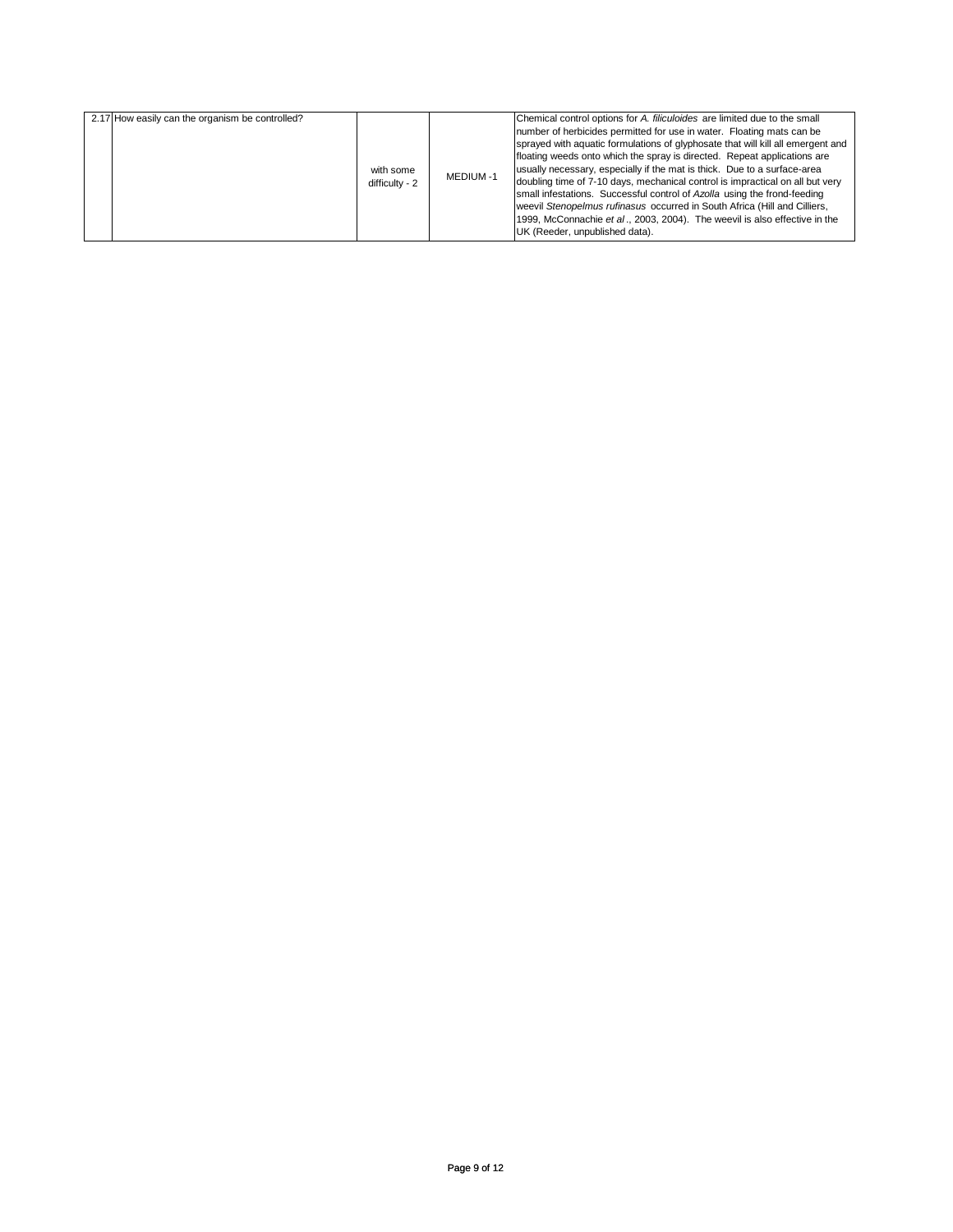| 2.17 How easily can the organism be controlled? | with some<br>difficulty - 2 | <b>MEDIUM-1</b> | Chemical control options for A. filiculoides are limited due to the small<br>number of herbicides permitted for use in water. Floating mats can be<br>sprayed with aquatic formulations of glyphosate that will kill all emergent and<br>floating weeds onto which the spray is directed. Repeat applications are<br>usually necessary, especially if the mat is thick. Due to a surface-area<br>doubling time of 7-10 days, mechanical control is impractical on all but very<br>small infestations. Successful control of Azolla using the frond-feeding<br>weevil Stenopelmus rufinasus occurred in South Africa (Hill and Cilliers,<br>1999, McConnachie et al., 2003, 2004). The weevil is also effective in the<br>UK (Reeder, unpublished data). |
|-------------------------------------------------|-----------------------------|-----------------|---------------------------------------------------------------------------------------------------------------------------------------------------------------------------------------------------------------------------------------------------------------------------------------------------------------------------------------------------------------------------------------------------------------------------------------------------------------------------------------------------------------------------------------------------------------------------------------------------------------------------------------------------------------------------------------------------------------------------------------------------------|
|-------------------------------------------------|-----------------------------|-----------------|---------------------------------------------------------------------------------------------------------------------------------------------------------------------------------------------------------------------------------------------------------------------------------------------------------------------------------------------------------------------------------------------------------------------------------------------------------------------------------------------------------------------------------------------------------------------------------------------------------------------------------------------------------------------------------------------------------------------------------------------------------|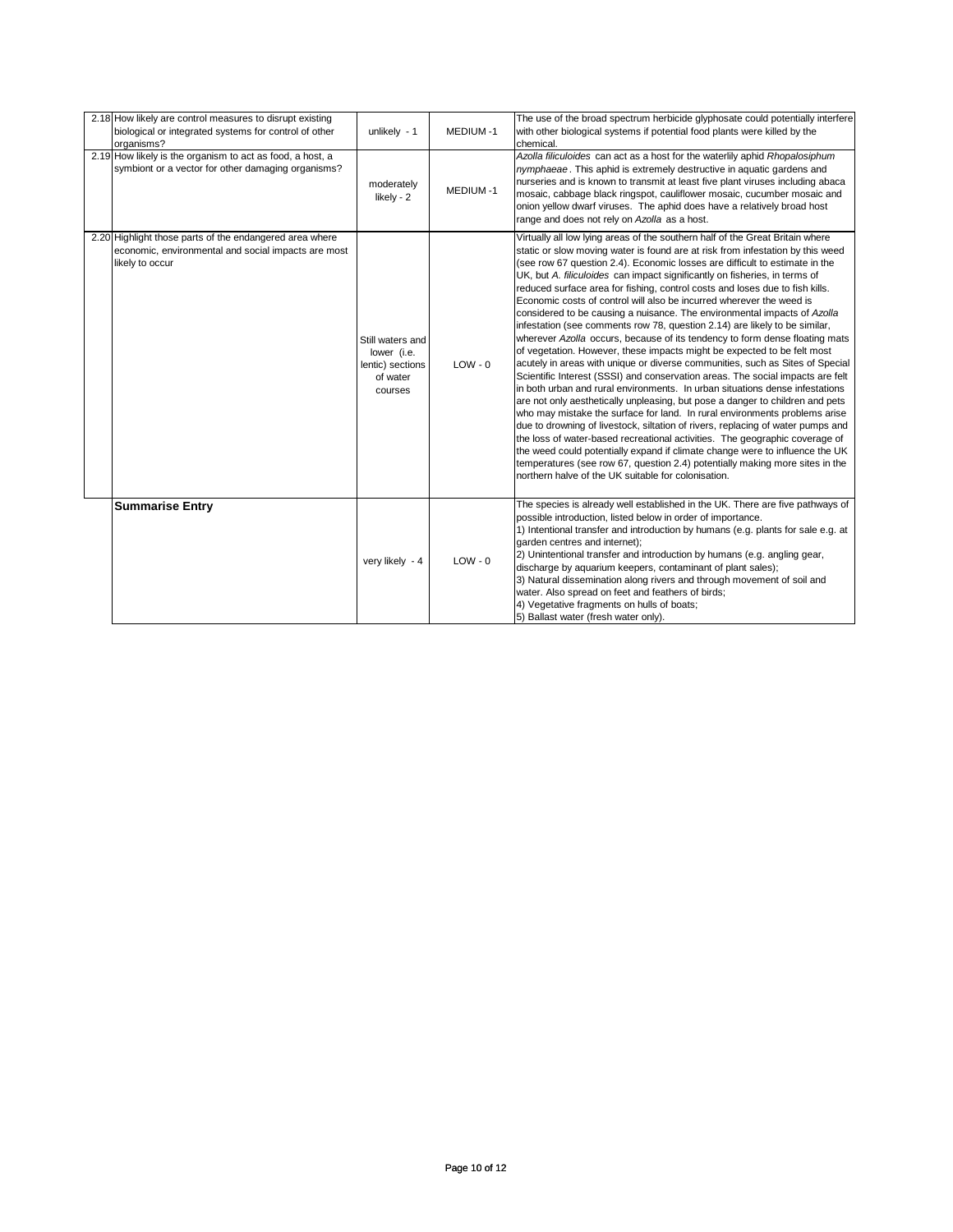| 2.18 How likely are control measures to disrupt existing<br>biological or integrated systems for control of other<br>organisms?   | unlikely $-1$                                                              | <b>MEDIUM-1</b> | The use of the broad spectrum herbicide glyphosate could potentially interfere<br>with other biological systems if potential food plants were killed by the<br>chemical.                                                                                                                                                                                                                                                                                                                                                                                                                                                                                                                                                                                                                                                                                                                                                                                                                                                                                                                                                                                                                                                                                                                                                                                                                                                                                                                                                                                                                                            |
|-----------------------------------------------------------------------------------------------------------------------------------|----------------------------------------------------------------------------|-----------------|---------------------------------------------------------------------------------------------------------------------------------------------------------------------------------------------------------------------------------------------------------------------------------------------------------------------------------------------------------------------------------------------------------------------------------------------------------------------------------------------------------------------------------------------------------------------------------------------------------------------------------------------------------------------------------------------------------------------------------------------------------------------------------------------------------------------------------------------------------------------------------------------------------------------------------------------------------------------------------------------------------------------------------------------------------------------------------------------------------------------------------------------------------------------------------------------------------------------------------------------------------------------------------------------------------------------------------------------------------------------------------------------------------------------------------------------------------------------------------------------------------------------------------------------------------------------------------------------------------------------|
| 2.19 How likely is the organism to act as food, a host, a<br>symbiont or a vector for other damaging organisms?                   | moderately<br>likely - 2                                                   | MEDIUM-1        | Azolla filiculoides can act as a host for the waterlily aphid Rhopalosiphum<br>nymphaeae. This aphid is extremely destructive in aquatic gardens and<br>nurseries and is known to transmit at least five plant viruses including abaca<br>mosaic, cabbage black ringspot, cauliflower mosaic, cucumber mosaic and<br>onion yellow dwarf viruses. The aphid does have a relatively broad host<br>range and does not rely on Azolla as a host.                                                                                                                                                                                                                                                                                                                                                                                                                                                                                                                                                                                                                                                                                                                                                                                                                                                                                                                                                                                                                                                                                                                                                                        |
| 2.20 Highlight those parts of the endangered area where<br>economic, environmental and social impacts are most<br>likely to occur | Still waters and<br>lower (i.e.<br>lentic) sections<br>of water<br>courses | $LOW - 0$       | Virtually all low lying areas of the southern half of the Great Britain where<br>static or slow moving water is found are at risk from infestation by this weed<br>(see row 67 question 2.4). Economic losses are difficult to estimate in the<br>UK, but A. filiculoides can impact significantly on fisheries, in terms of<br>reduced surface area for fishing, control costs and loses due to fish kills.<br>Economic costs of control will also be incurred wherever the weed is<br>considered to be causing a nuisance. The environmental impacts of Azolla<br>infestation (see comments row 78, question 2.14) are likely to be similar,<br>wherever Azolla occurs, because of its tendency to form dense floating mats<br>of vegetation. However, these impacts might be expected to be felt most<br>acutely in areas with unique or diverse communities, such as Sites of Special<br>Scientific Interest (SSSI) and conservation areas. The social impacts are felt<br>in both urban and rural environments. In urban situations dense infestations<br>are not only aesthetically unpleasing, but pose a danger to children and pets<br>who may mistake the surface for land. In rural environments problems arise<br>due to drowning of livestock, siltation of rivers, replacing of water pumps and<br>the loss of water-based recreational activities. The geographic coverage of<br>the weed could potentially expand if climate change were to influence the UK<br>temperatures (see row 67, question 2.4) potentially making more sites in the<br>northern halve of the UK suitable for colonisation. |
| <b>Summarise Entry</b>                                                                                                            | very likely - 4                                                            | $LOW - 0$       | The species is already well established in the UK. There are five pathways of<br>possible introduction, listed below in order of importance.<br>1) Intentional transfer and introduction by humans (e.g. plants for sale e.g. at<br>garden centres and internet);<br>2) Unintentional transfer and introduction by humans (e.g. angling gear,<br>discharge by aquarium keepers, contaminant of plant sales);<br>3) Natural dissemination along rivers and through movement of soil and<br>water. Also spread on feet and feathers of birds;<br>4) Vegetative fragments on hulls of boats;<br>5) Ballast water (fresh water only).                                                                                                                                                                                                                                                                                                                                                                                                                                                                                                                                                                                                                                                                                                                                                                                                                                                                                                                                                                                   |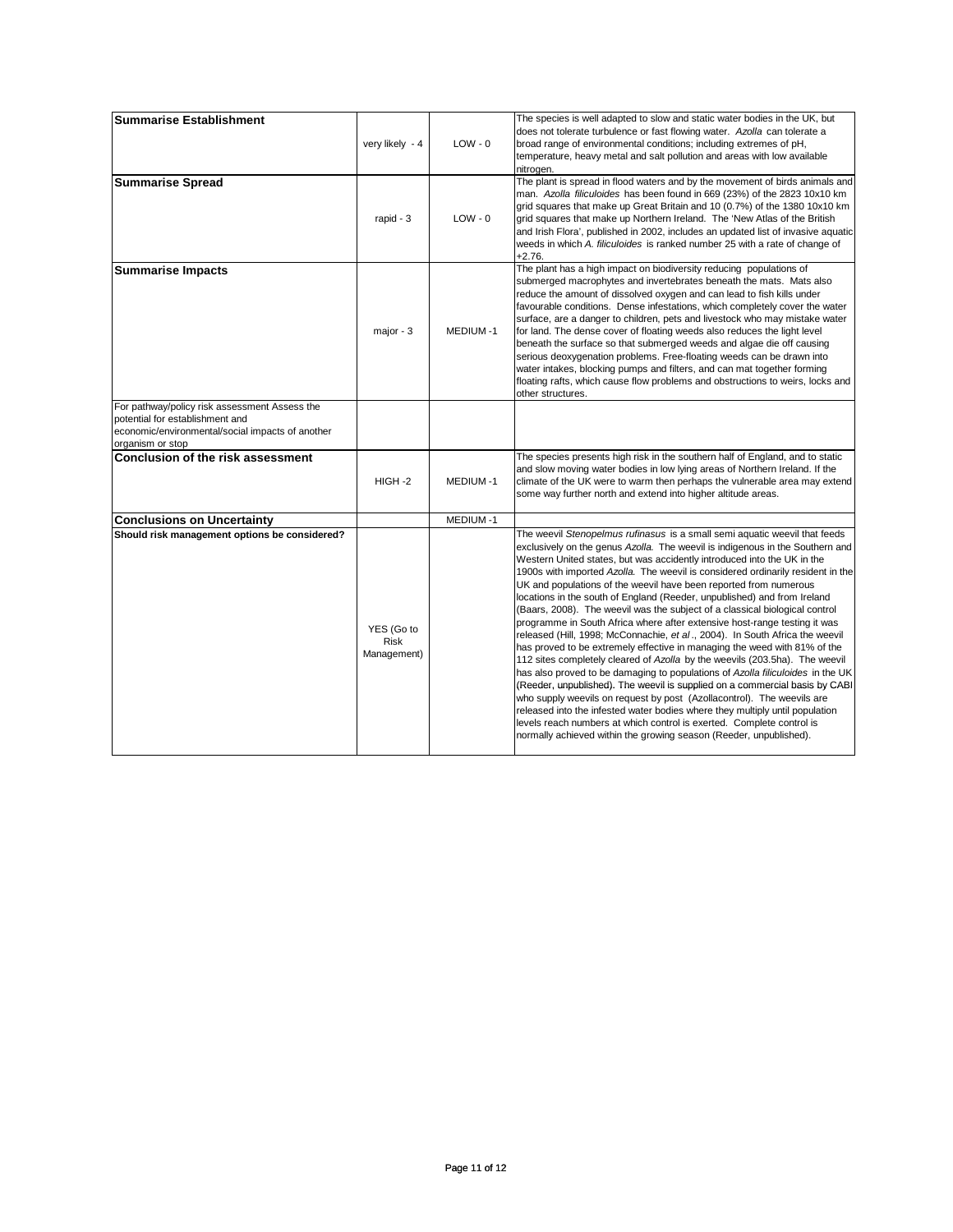| <b>Summarise Establishment</b>                                                                                                                           | very likely - 4                   | $LOW - 0$       | The species is well adapted to slow and static water bodies in the UK, but<br>does not tolerate turbulence or fast flowing water. Azolla can tolerate a<br>broad range of environmental conditions; including extremes of pH,<br>temperature, heavy metal and salt pollution and areas with low available<br>nitrogen.                                                                                                                                                                                                                                                                                                                                                                                                                                                                                                                                                                                                                                                                                                                                                                                                                                                                                                                                                                                                                                       |
|----------------------------------------------------------------------------------------------------------------------------------------------------------|-----------------------------------|-----------------|--------------------------------------------------------------------------------------------------------------------------------------------------------------------------------------------------------------------------------------------------------------------------------------------------------------------------------------------------------------------------------------------------------------------------------------------------------------------------------------------------------------------------------------------------------------------------------------------------------------------------------------------------------------------------------------------------------------------------------------------------------------------------------------------------------------------------------------------------------------------------------------------------------------------------------------------------------------------------------------------------------------------------------------------------------------------------------------------------------------------------------------------------------------------------------------------------------------------------------------------------------------------------------------------------------------------------------------------------------------|
| <b>Summarise Spread</b>                                                                                                                                  | rapid - 3                         | $LOW - 0$       | The plant is spread in flood waters and by the movement of birds animals and<br>man. Azolla filiculoides has been found in 669 (23%) of the 2823 10x10 km<br>grid squares that make up Great Britain and 10 (0.7%) of the 1380 10x10 km<br>grid squares that make up Northern Ireland. The 'New Atlas of the British<br>and Irish Flora', published in 2002, includes an updated list of invasive aquatic<br>weeds in which A. filiculoides is ranked number 25 with a rate of change of<br>$+2.76.$                                                                                                                                                                                                                                                                                                                                                                                                                                                                                                                                                                                                                                                                                                                                                                                                                                                         |
| <b>Summarise Impacts</b>                                                                                                                                 | major $-3$                        | <b>MEDIUM-1</b> | The plant has a high impact on biodiversity reducing populations of<br>submerged macrophytes and invertebrates beneath the mats. Mats also<br>reduce the amount of dissolved oxygen and can lead to fish kills under<br>favourable conditions. Dense infestations, which completely cover the water<br>surface, are a danger to children, pets and livestock who may mistake water<br>for land. The dense cover of floating weeds also reduces the light level<br>beneath the surface so that submerged weeds and algae die off causing<br>serious deoxygenation problems. Free-floating weeds can be drawn into<br>water intakes, blocking pumps and filters, and can mat together forming<br>floating rafts, which cause flow problems and obstructions to weirs, locks and<br>other structures.                                                                                                                                                                                                                                                                                                                                                                                                                                                                                                                                                           |
| For pathway/policy risk assessment Assess the<br>potential for establishment and<br>economic/environmental/social impacts of another<br>organism or stop |                                   |                 |                                                                                                                                                                                                                                                                                                                                                                                                                                                                                                                                                                                                                                                                                                                                                                                                                                                                                                                                                                                                                                                                                                                                                                                                                                                                                                                                                              |
| Conclusion of the risk assessment                                                                                                                        | HIGH-2                            | MEDIUM-1        | The species presents high risk in the southern half of England, and to static<br>and slow moving water bodies in low lying areas of Northern Ireland. If the<br>climate of the UK were to warm then perhaps the vulnerable area may extend<br>some way further north and extend into higher altitude areas.                                                                                                                                                                                                                                                                                                                                                                                                                                                                                                                                                                                                                                                                                                                                                                                                                                                                                                                                                                                                                                                  |
| <b>Conclusions on Uncertainty</b>                                                                                                                        |                                   | MEDIUM-1        |                                                                                                                                                                                                                                                                                                                                                                                                                                                                                                                                                                                                                                                                                                                                                                                                                                                                                                                                                                                                                                                                                                                                                                                                                                                                                                                                                              |
| Should risk management options be considered?                                                                                                            | YES (Go to<br>Risk<br>Management) |                 | The weevil Stenopelmus rufinasus is a small semi aquatic weevil that feeds<br>exclusively on the genus Azolla. The weevil is indigenous in the Southern and<br>Western United states, but was accidently introduced into the UK in the<br>1900s with imported Azolla. The weevil is considered ordinarily resident in the<br>UK and populations of the weevil have been reported from numerous<br>locations in the south of England (Reeder, unpublished) and from Ireland<br>(Baars, 2008). The weevil was the subject of a classical biological control<br>programme in South Africa where after extensive host-range testing it was<br>released (Hill, 1998; McConnachie, et al., 2004). In South Africa the weevil<br>has proved to be extremely effective in managing the weed with 81% of the<br>112 sites completely cleared of Azolla by the weevils (203.5ha). The weevil<br>has also proved to be damaging to populations of Azolla filiculoides in the UK<br>(Reeder, unpublished). The weevil is supplied on a commercial basis by CABI<br>who supply weevils on request by post (Azollacontrol). The weevils are<br>released into the infested water bodies where they multiply until population<br>levels reach numbers at which control is exerted. Complete control is<br>normally achieved within the growing season (Reeder, unpublished). |